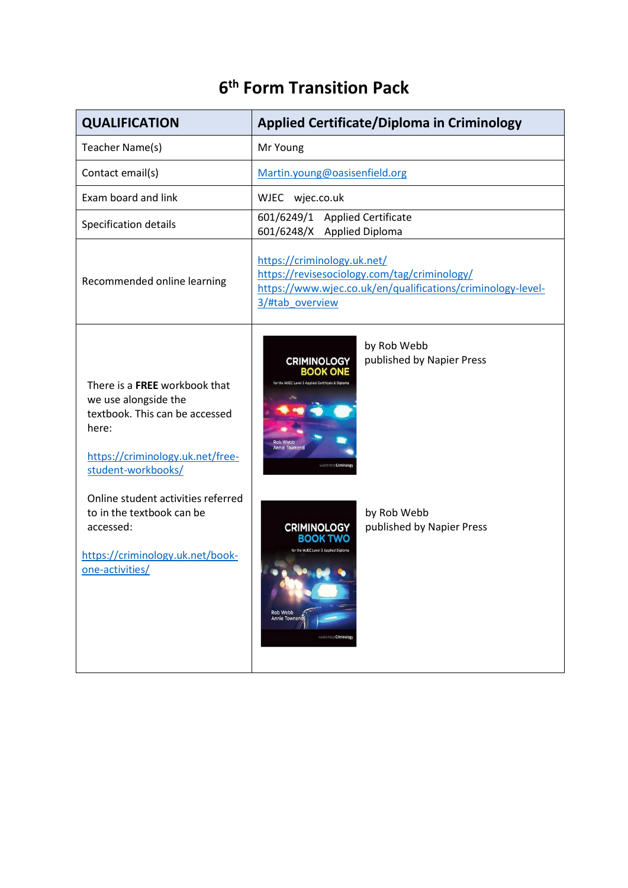## **6 th Form Transition Pack**

| <b>QUALIFICATION</b>                                                                                                                                                                                                                                                                              | <b>Applied Certificate/Diploma in Criminology</b>                                                                                                                                                                                                                                                                                           |  |
|---------------------------------------------------------------------------------------------------------------------------------------------------------------------------------------------------------------------------------------------------------------------------------------------------|---------------------------------------------------------------------------------------------------------------------------------------------------------------------------------------------------------------------------------------------------------------------------------------------------------------------------------------------|--|
| Teacher Name(s)                                                                                                                                                                                                                                                                                   | Mr Young                                                                                                                                                                                                                                                                                                                                    |  |
| Contact email(s)                                                                                                                                                                                                                                                                                  | Martin.young@oasisenfield.org                                                                                                                                                                                                                                                                                                               |  |
| Exam board and link                                                                                                                                                                                                                                                                               | <b>WJEC</b><br>wjec.co.uk                                                                                                                                                                                                                                                                                                                   |  |
| Specification details                                                                                                                                                                                                                                                                             | 601/6249/1 Applied Certificate<br>601/6248/X Applied Diploma                                                                                                                                                                                                                                                                                |  |
| Recommended online learning                                                                                                                                                                                                                                                                       | https://criminology.uk.net/<br>https://revisesociology.com/tag/criminology/<br>https://www.wjec.co.uk/en/qualifications/criminology-level-<br>3/#tab_overview                                                                                                                                                                               |  |
| There is a FREE workbook that<br>we use alongside the<br>textbook. This can be accessed<br>here:<br>https://criminology.uk.net/free-<br>student-workbooks/<br>Online student activities referred<br>to in the textbook can be<br>accessed:<br>https://criminology.uk.net/book-<br>one-activities/ | by Rob Webb<br>published by Napier Press<br><b>CRIMINOLOGY</b><br><b>BOOK ONE</b><br>for the WJEC Level 3 Applied Certificate &<br><b>Rob Webb</b><br><b>Annie Townend</b><br><b>PER PRESS Crimin</b><br>by Rob Webb<br>published by Napier Press<br><b>CRIMINOLOGY</b><br>BOOK T<br>Rob Webb<br>Annie Townendy<br>NAPIER PRESS Criminology |  |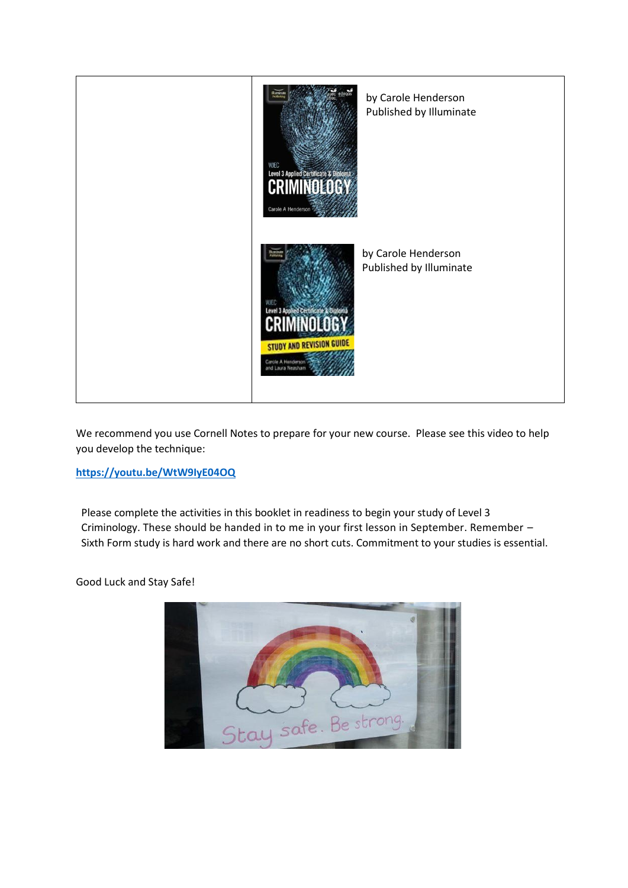

We recommend you use Cornell Notes to prepare for your new course. Please see this video to help you develop the technique:

#### **<https://youtu.be/WtW9IyE04OQ>**

Please complete the activities in this booklet in readiness to begin your study of Level 3 Criminology. These should be handed in to me in your first lesson in September. Remember – Sixth Form study is hard work and there are no short cuts. Commitment to your studies is essential.

Good Luck and Stay Safe!

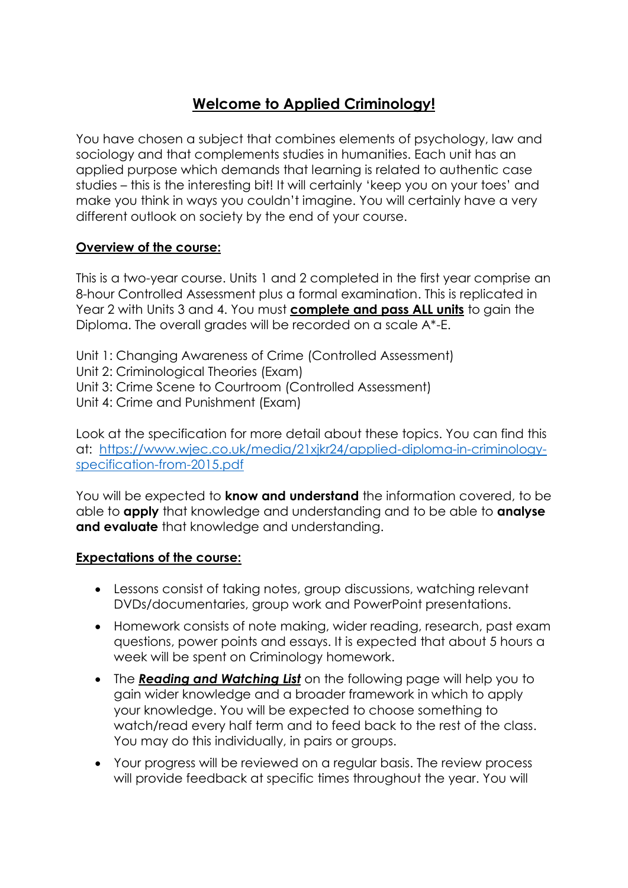## **Welcome to Applied Criminology!**

You have chosen a subject that combines elements of psychology, law and sociology and that complements studies in humanities. Each unit has an applied purpose which demands that learning is related to authentic case studies – this is the interesting bit! It will certainly 'keep you on your toes' and make you think in ways you couldn't imagine. You will certainly have a very different outlook on society by the end of your course.

#### **Overview of the course:**

This is a two-year course. Units 1 and 2 completed in the first year comprise an 8-hour Controlled Assessment plus a formal examination. This is replicated in Year 2 with Units 3 and 4. You must **complete and pass ALL units** to gain the Diploma. The overall grades will be recorded on a scale A\*-E.

Unit 1: Changing Awareness of Crime (Controlled Assessment) Unit 2: Criminological Theories (Exam) Unit 3: Crime Scene to Courtroom (Controlled Assessment) Unit 4: Crime and Punishment (Exam)

Look at the specification for more detail about these topics. You can find this at: [https://www.wjec.co.uk/media/21xjkr24/applied-diploma-in-criminology](https://www.wjec.co.uk/media/21xjkr24/applied-diploma-in-criminology-specification-from-2015.pdf)[specification-from-2015.pdf](https://www.wjec.co.uk/media/21xjkr24/applied-diploma-in-criminology-specification-from-2015.pdf)

You will be expected to **know and understand** the information covered, to be able to **apply** that knowledge and understanding and to be able to **analyse and evaluate** that knowledge and understanding.

#### **Expectations of the course:**

- Lessons consist of taking notes, group discussions, watching relevant DVDs/documentaries, group work and PowerPoint presentations.
- Homework consists of note making, wider reading, research, past exam questions, power points and essays. It is expected that about 5 hours a week will be spent on Criminology homework.
- The *Reading and Watching List* on the following page will help you to gain wider knowledge and a broader framework in which to apply your knowledge. You will be expected to choose something to watch/read every half term and to feed back to the rest of the class. You may do this individually, in pairs or groups.
- Your progress will be reviewed on a regular basis. The review process will provide feedback at specific times throughout the year. You will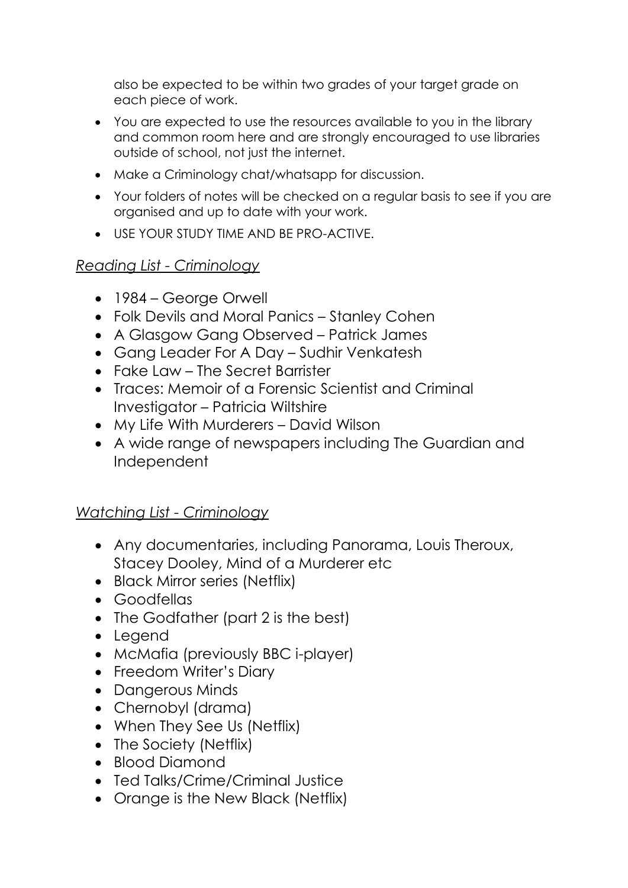also be expected to be within two grades of your target grade on each piece of work.

- You are expected to use the resources available to you in the library and common room here and are strongly encouraged to use libraries outside of school, not just the internet.
- Make a Criminology chat/whatsapp for discussion.
- Your folders of notes will be checked on a regular basis to see if you are organised and up to date with your work.
- USE YOUR STUDY TIME AND BE PRO-ACTIVE.

## *Reading List - Criminology*

- 1984 George Orwell
- Folk Devils and Moral Panics Stanley Cohen
- A Glasgow Gang Observed Patrick James
- Gang Leader For A Day Sudhir Venkatesh
- Fake Law The Secret Barrister
- Traces: Memoir of a Forensic Scientist and Criminal Investigator – Patricia Wiltshire
- My Life With Murderers David Wilson
- A wide range of newspapers including The Guardian and Independent

## *Watching List - Criminology*

- Any documentaries, including Panorama, Louis Theroux, Stacey Dooley, Mind of a Murderer etc
- Black Mirror series (Netflix)
- Goodfellas
- The Godfather (part 2 is the best)
- Legend
- McMafia (previously BBC i-player)
- Freedom Writer's Diary
- Dangerous Minds
- Chernobyl (drama)
- When They See Us (Netflix)
- The Society (Netflix)
- Blood Diamond
- Ted Talks/Crime/Criminal Justice
- Orange is the New Black (Netflix)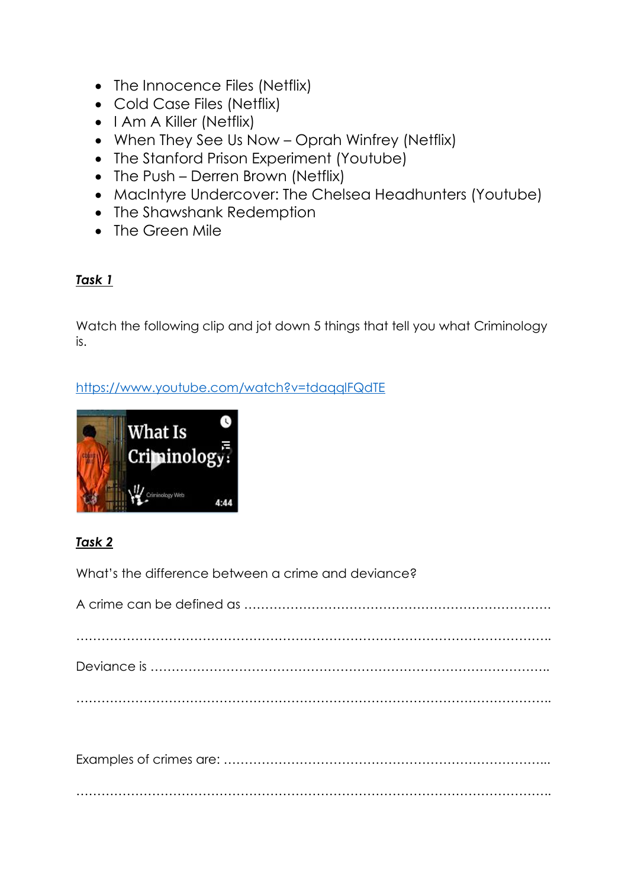- The Innocence Files (Netflix)
- Cold Case Files (Netflix)
- $\bullet$  I Am A Killer (Netflix)
- When They See Us Now Oprah Winfrey (Netflix)
- The Stanford Prison Experiment (Youtube)
- The Push Derren Brown (Netflix)
- MacIntyre Undercover: The Chelsea Headhunters (Youtube)
- The Shawshank Redemption
- The Green Mile

## *Task 1*

Watch the following clip and jot down 5 things that tell you what Criminology is.

## <https://www.youtube.com/watch?v=tdaqqlFQdTE>



## *Task 2*

What's the difference between a crime and deviance?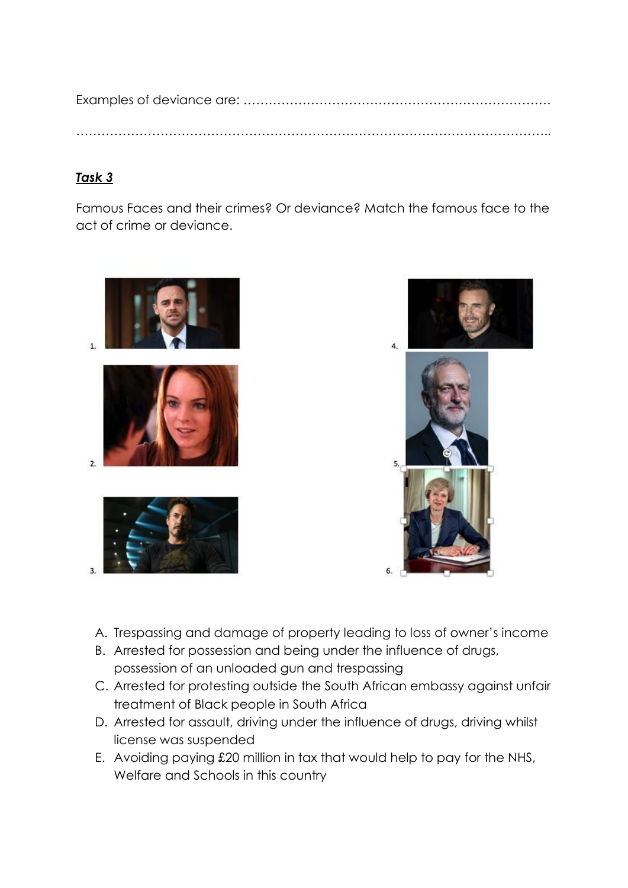Examples of deviance are: ………………………………………………………………. …………………………………………………………………………………………………..

#### *Task 3*

Famous Faces and their crimes? Or deviance? Match the famous face to the act of crime or deviance.





- A. Trespassing and damage of property leading to loss of owner's income
- B. Arrested for possession and being under the influence of drugs, possession of an unloaded gun and trespassing
- C. Arrested for protesting outside the South African embassy against unfair treatment of Black people in South Africa
- D. Arrested for assault, driving under the influence of drugs, driving whilst license was suspended
- E. Avoiding paying £20 million in tax that would help to pay for the NHS, Welfare and Schools in this country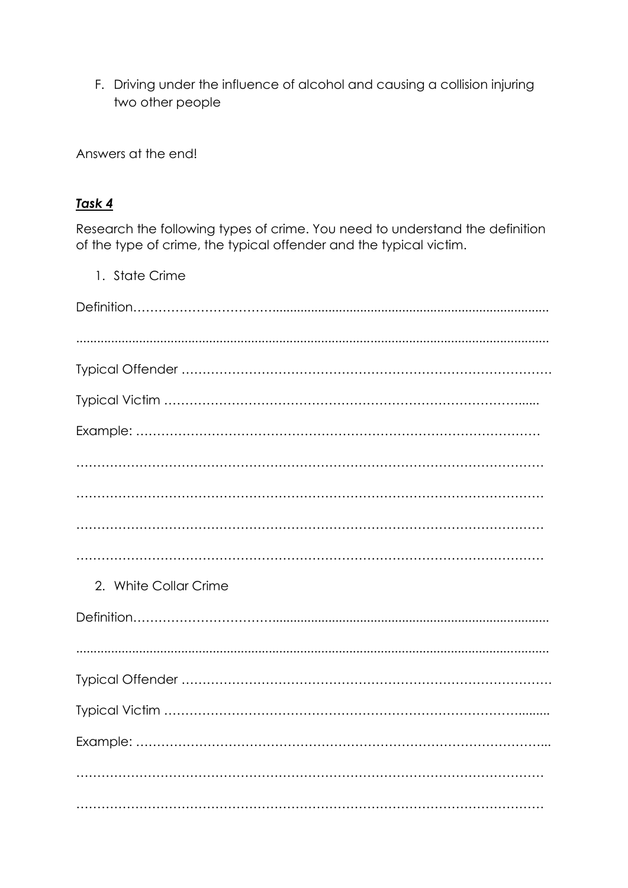F. Driving under the influence of alcohol and causing a collision injuring two other people

Answers at the end!

#### Task 4

Research the following types of crime. You need to understand the definition of the type of crime, the typical offender and the typical victim.

1. State Crime 2. White Collar Crime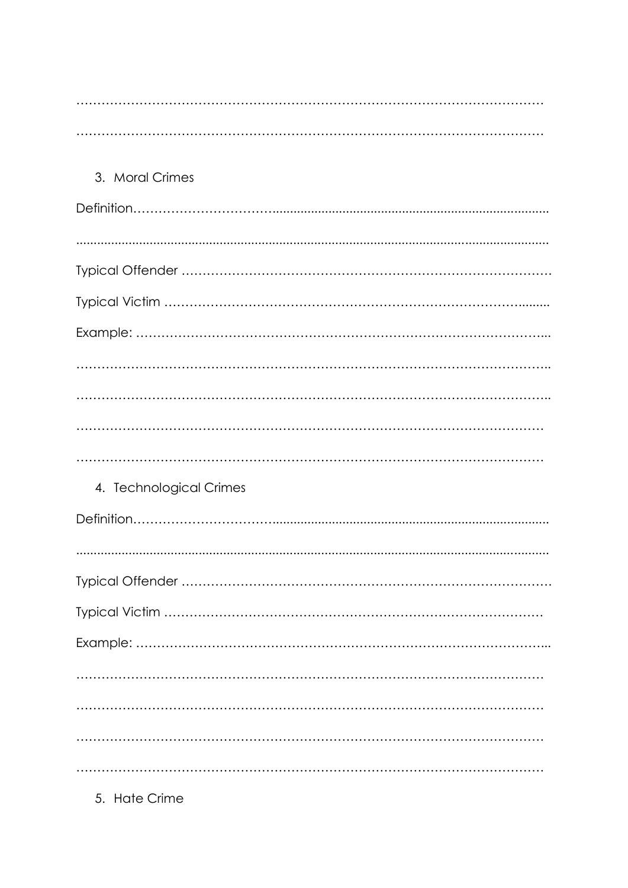| 3. Moral Crimes         |
|-------------------------|
|                         |
|                         |
|                         |
|                         |
|                         |
|                         |
|                         |
|                         |
|                         |
| 4. Technological Crimes |
|                         |
|                         |
|                         |
|                         |
|                         |
|                         |
|                         |
|                         |
|                         |

5. Hate Crime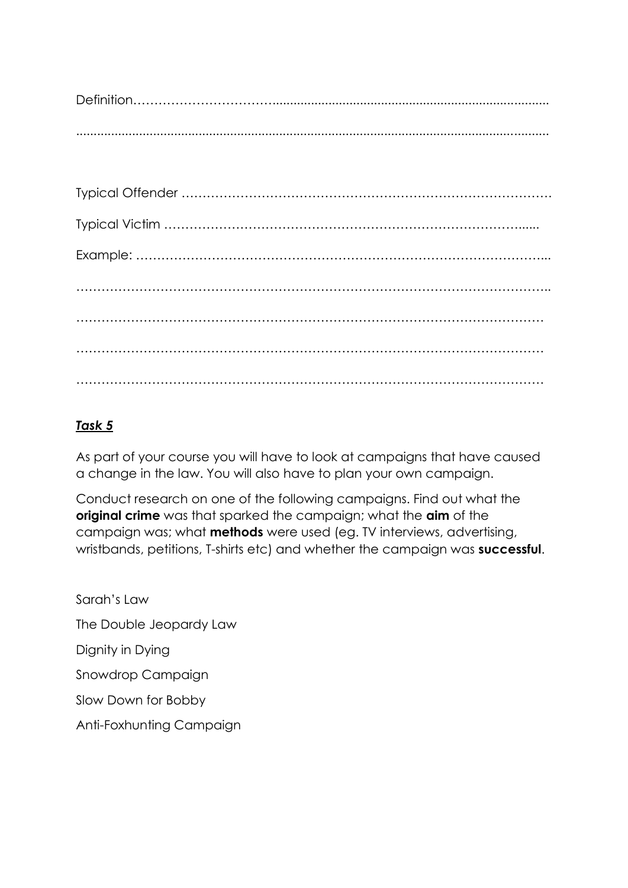Definition……………………………............................................................................... .......................................................................................................................................

#### *Task 5*

As part of your course you will have to look at campaigns that have caused a change in the law. You will also have to plan your own campaign.

Conduct research on one of the following campaigns. Find out what the **original crime** was that sparked the campaign; what the **aim** of the campaign was; what **methods** were used (eg. TV interviews, advertising, wristbands, petitions, T-shirts etc) and whether the campaign was **successful**.

Sarah's Law The Double Jeopardy Law Dignity in Dying Snowdrop Campaign Slow Down for Bobby Anti-Foxhunting Campaign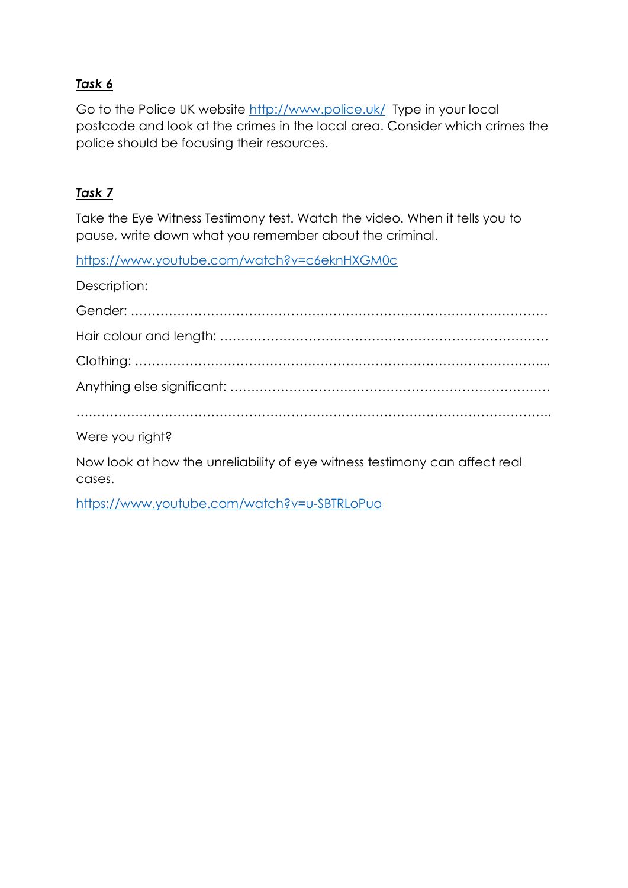### *Task 6*

Go to the Police UK website<http://www.police.uk/> Type in your local postcode and look at the crimes in the local area. Consider which crimes the police should be focusing their resources.

#### *Task 7*

Take the Eye Witness Testimony test. Watch the video. When it tells you to pause, write down what you remember about the criminal.

<https://www.youtube.com/watch?v=c6eknHXGM0c>

Description:

| Were you right? |
|-----------------|

Now look at how the unreliability of eye witness testimony can affect real cases.

<https://www.youtube.com/watch?v=u-SBTRLoPuo>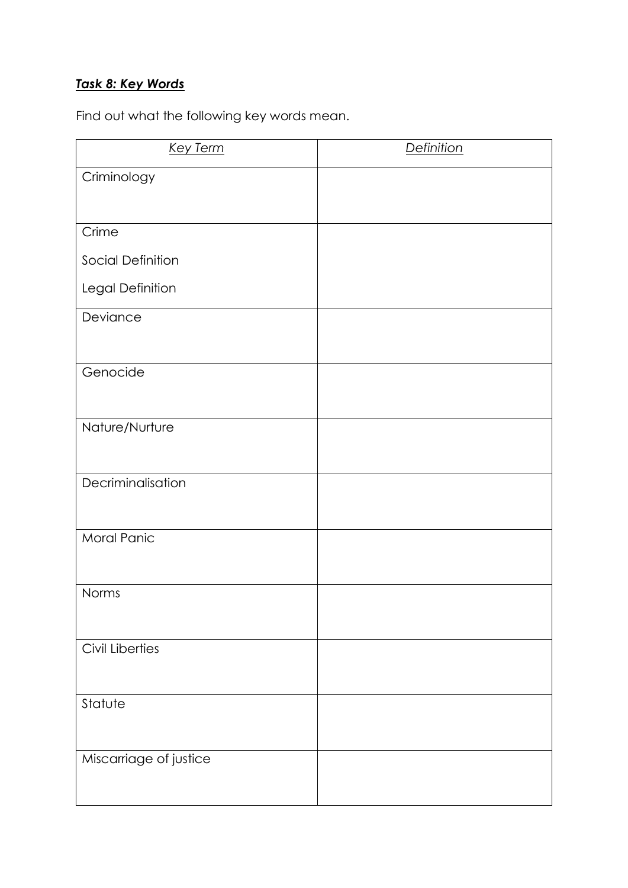### *Task 8: Key Words*

Find out what the following key words mean.

| <b>Key Term</b>        | <b>Definition</b> |
|------------------------|-------------------|
| Criminology            |                   |
|                        |                   |
| Crime                  |                   |
| Social Definition      |                   |
| Legal Definition       |                   |
| Deviance               |                   |
|                        |                   |
| Genocide               |                   |
|                        |                   |
| Nature/Nurture         |                   |
|                        |                   |
| Decriminalisation      |                   |
|                        |                   |
| Moral Panic            |                   |
|                        |                   |
| Norms                  |                   |
|                        |                   |
| <b>Civil Liberties</b> |                   |
|                        |                   |
| Statute                |                   |
|                        |                   |
| Miscarriage of justice |                   |
|                        |                   |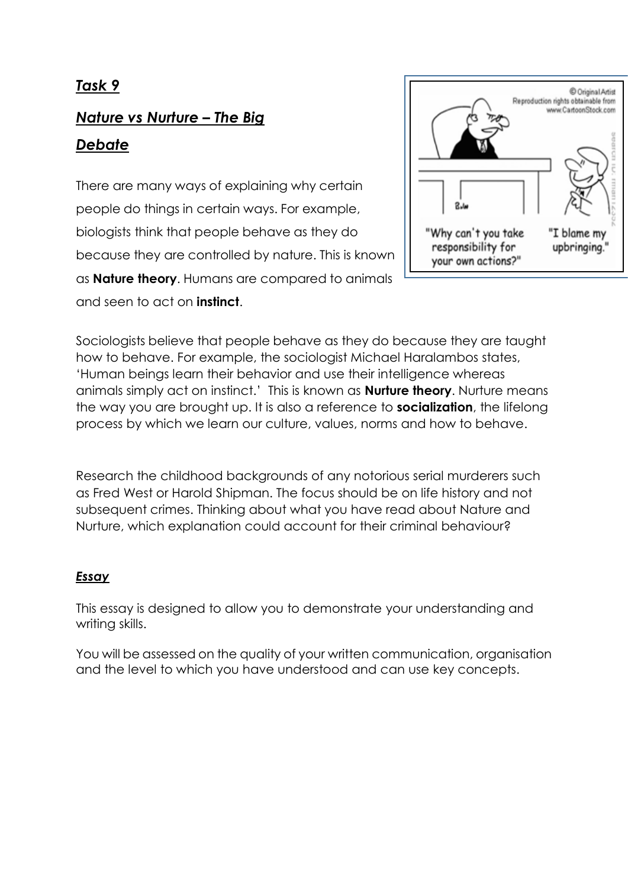## *Task 9*

# *Nature vs Nurture – The Big Debate*

There are many ways of explaining why certain people do things in certain ways. For example, biologists think that people behave as they do because they are controlled by nature. This is known as **Nature theory**. Humans are compared to animals and seen to act on **instinct**.



Sociologists believe that people behave as they do because they are taught how to behave. For example, the sociologist Michael Haralambos states, 'Human beings learn their behavior and use their intelligence whereas animals simply act on instinct.' This is known as **Nurture theory**. Nurture means the way you are brought up. It is also a reference to **socialization**, the lifelong process by which we learn our culture, values, norms and how to behave.

Research the childhood backgrounds of any notorious serial murderers such as Fred West or Harold Shipman. The focus should be on life history and not subsequent crimes. Thinking about what you have read about Nature and Nurture, which explanation could account for their criminal behaviour?

#### *Essay*

This essay is designed to allow you to demonstrate your understanding and writing skills.

You will be assessed on the quality of your written communication, organisation and the level to which you have understood and can use key concepts.